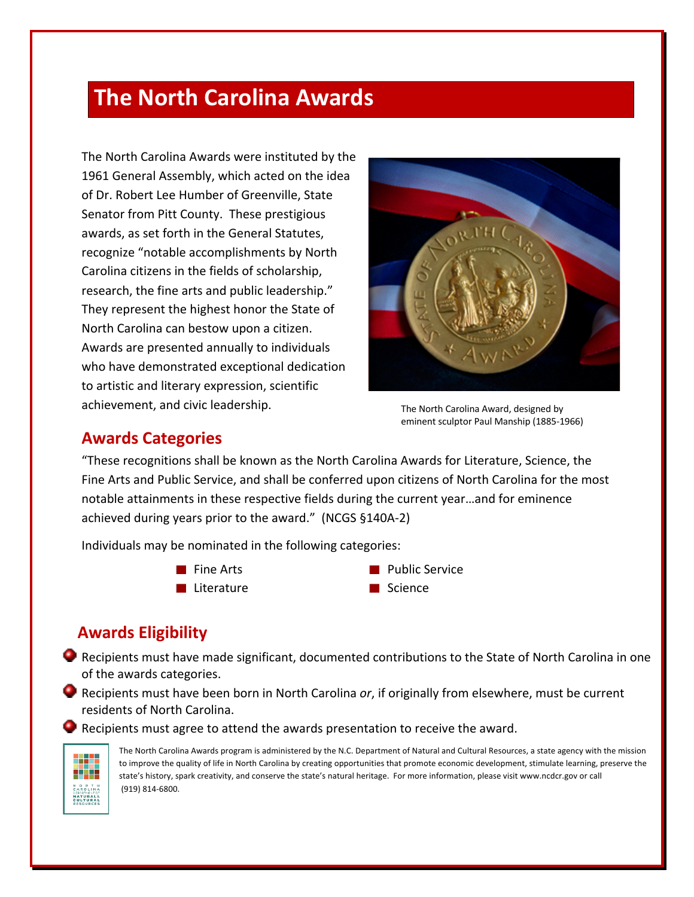## **The North Carolina Awards**

The North Carolina Awards were instituted by the 1961 General Assembly, which acted on the idea of Dr. Robert Lee Humber of Greenville, State Senator from Pitt County. These prestigious awards, as set forth in the General Statutes, recognize "notable accomplishments by North Carolina citizens in the fields of scholarship, research, the fine arts and public leadership." They represent the highest honor the State of North Carolina can bestow upon a citizen. Awards are presented annually to individuals who have demonstrated exceptional dedication to artistic and literary expression, scientific achievement, and civic leadership.



The North Carolina Award, designed by eminent sculptor Paul Manship (1885-1966)

## **Awards Categories**

"These recognitions shall be known as the North Carolina Awards for Literature, Science, the Fine Arts and Public Service, and shall be conferred upon citizens of North Carolina for the most notable attainments in these respective fields during the current year…and for eminence achieved during years prior to the award." (NCGS §140A-2)

Individuals may be nominated in the following categories:

- $\blacksquare$  Fine Arts
- **Literature**
- **Public Service**
- **■** Science

## **Awards Eligibility**

- Recipients must have made significant, documented contributions to the State of North Carolina in one of the awards categories.
- Recipients must have been born in North Carolina *or*, if originally from elsewhere, must be current residents of North Carolina.

Recipients must agree to attend the awards presentation to receive the award.



The North Carolina Awards program is administered by the N.C. Department of Natural and Cultural Resources, a state agency with the mission to improve the quality of life in North Carolina by creating opportunities that promote economic development, stimulate learning, preserve the state's history, spark creativity, and conserve the state's natural heritage. For more information, please visit www.ncdcr.gov or call (919) 814-6800.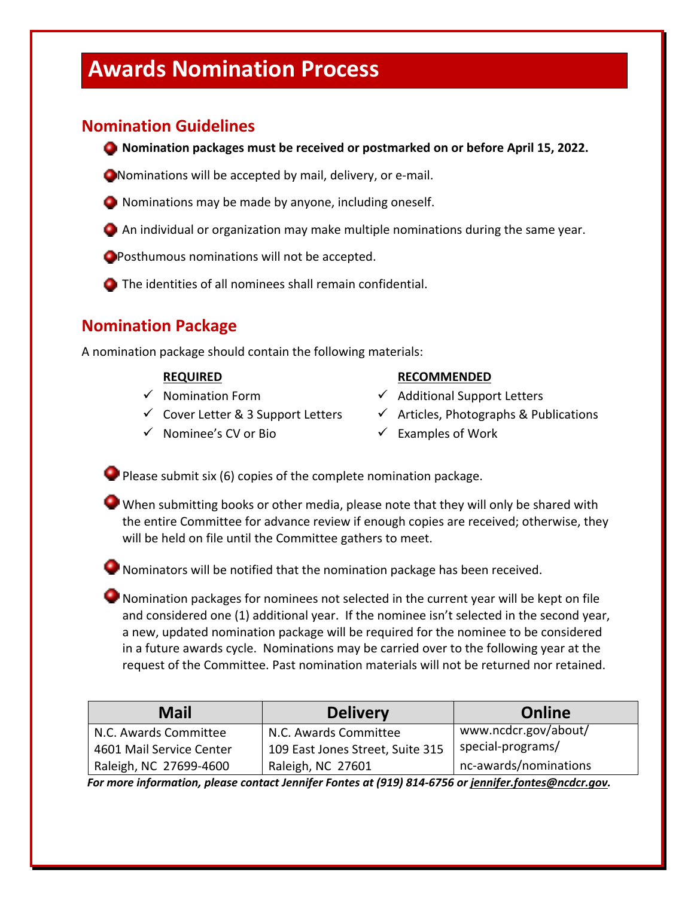# **Awards Nomination Process**

## **Nomination Guidelines**

**Nomination packages must be received or postmarked on or before April 15, 2022.** 

Nominations will be accepted by mail, delivery, or e-mail.

- Nominations may be made by anyone, including oneself.
- An individual or organization may make multiple nominations during the same year.

**O** Posthumous nominations will not be accepted.

The identities of all nominees shall remain confidential.

## **Nomination Package**

A nomination package should contain the following materials:

#### **REQUIRED**

- $\checkmark$  Nomination Form
- $\checkmark$  Cover Letter & 3 Support Letters
- $\checkmark$  Nominee's CV or Bio

#### **RECOMMENDED**

- $\checkmark$  Additional Support Letters
- $\checkmark$  Articles, Photographs & Publications
- $\checkmark$  Examples of Work

Please submit six (6) copies of the complete nomination package.

When submitting books or other media, please note that they will only be shared with the entire Committee for advance review if enough copies are received; otherwise, they will be held on file until the Committee gathers to meet.

Nominators will be notified that the nomination package has been received.

Nomination packages for nominees not selected in the current year will be kept on file and considered one (1) additional year. If the nominee isn't selected in the second year, a new, updated nomination package will be required for the nominee to be considered in a future awards cycle. Nominations may be carried over to the following year at the request of the Committee. Past nomination materials will not be returned nor retained.

| <b>Mail</b>              | <b>Delivery</b>                  | Online                |
|--------------------------|----------------------------------|-----------------------|
| N.C. Awards Committee    | N.C. Awards Committee            | www.ncdcr.gov/about/  |
| 4601 Mail Service Center | 109 East Jones Street, Suite 315 | special-programs/     |
| Raleigh, NC 27699-4600   | Raleigh, NC 27601                | nc-awards/nominations |

 *For more information, please contact Jennifer Fontes at (919) 814-6756 or jennifer.fontes@ncdcr.gov.*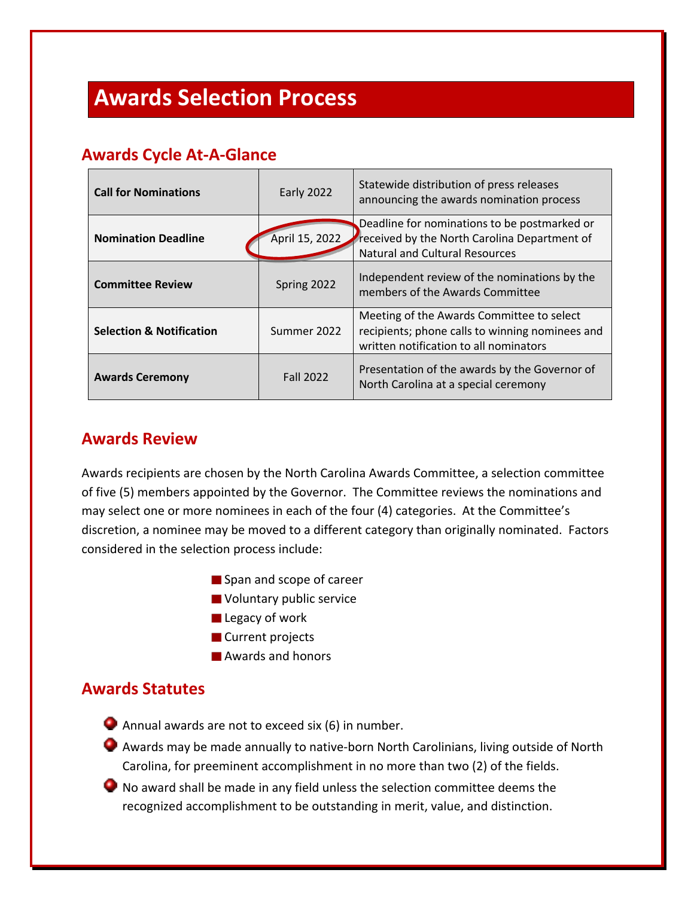# **Awards Selection Process**

## **Awards Cycle At-A-Glance**

| <b>Call for Nominations</b>         | Early 2022       | Statewide distribution of press releases<br>announcing the awards nomination process                                                   |
|-------------------------------------|------------------|----------------------------------------------------------------------------------------------------------------------------------------|
| <b>Nomination Deadline</b>          | April 15, 2022   | Deadline for nominations to be postmarked or<br>received by the North Carolina Department of<br><b>Natural and Cultural Resources</b>  |
| <b>Committee Review</b>             | Spring 2022      | Independent review of the nominations by the<br>members of the Awards Committee                                                        |
| <b>Selection &amp; Notification</b> | Summer 2022      | Meeting of the Awards Committee to select<br>recipients; phone calls to winning nominees and<br>written notification to all nominators |
| <b>Awards Ceremony</b>              | <b>Fall 2022</b> | Presentation of the awards by the Governor of<br>North Carolina at a special ceremony                                                  |

## **Awards Review**

Awards recipients are chosen by the North Carolina Awards Committee, a selection committee of five (5) members appointed by the Governor. The Committee reviews the nominations and may select one or more nominees in each of the four (4) categories. At the Committee's discretion, a nominee may be moved to a different category than originally nominated. Factors considered in the selection process include:

- Span and scope of career
- **Voluntary public service**
- **Legacy of work**
- **Current projects**
- **Awards and honors**

### **Awards Statutes**

- Annual awards are not to exceed six (6) in number.
- Awards may be made annually to native-born North Carolinians, living outside of North Carolina, for preeminent accomplishment in no more than two (2) of the fields.
- No award shall be made in any field unless the selection committee deems the recognized accomplishment to be outstanding in merit, value, and distinction.